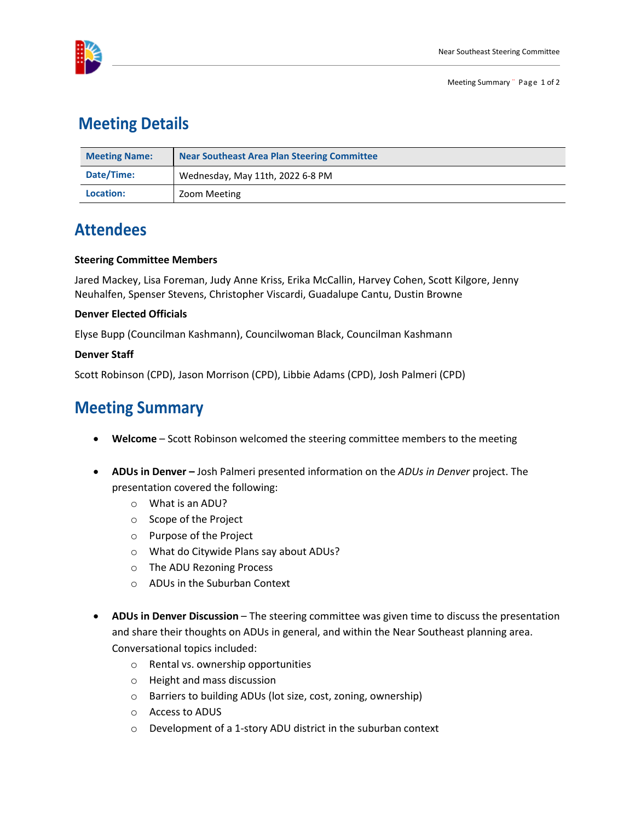

### **Meeting Details**

| <b>Meeting Name:</b> | <b>Near Southeast Area Plan Steering Committee</b> |
|----------------------|----------------------------------------------------|
| Date/Time:           | Wednesday, May 11th, 2022 6-8 PM                   |
| Location:            | Zoom Meeting                                       |

## **Attendees**

### **Steering Committee Members**

Jared Mackey, Lisa Foreman, Judy Anne Kriss, Erika McCallin, Harvey Cohen, Scott Kilgore, Jenny Neuhalfen, Spenser Stevens, Christopher Viscardi, Guadalupe Cantu, Dustin Browne

### **Denver Elected Officials**

Elyse Bupp (Councilman Kashmann), Councilwoman Black, Councilman Kashmann

#### **Denver Staff**

Scott Robinson (CPD), Jason Morrison (CPD), Libbie Adams (CPD), Josh Palmeri (CPD)

# **Meeting Summary**

- **Welcome** Scott Robinson welcomed the steering committee members to the meeting
- **ADUs in Denver –** Josh Palmeri presented information on the *ADUs in Denver* project. The presentation covered the following:
	- o What is an ADU?
	- o Scope of the Project
	- o Purpose of the Project
	- o What do Citywide Plans say about ADUs?
	- o The ADU Rezoning Process
	- o ADUs in the Suburban Context
- **ADUs in Denver Discussion** The steering committee was given time to discuss the presentation and share their thoughts on ADUs in general, and within the Near Southeast planning area. Conversational topics included:
	- o Rental vs. ownership opportunities
	- o Height and mass discussion
	- o Barriers to building ADUs (lot size, cost, zoning, ownership)
	- o Access to ADUS
	- o Development of a 1-story ADU district in the suburban context